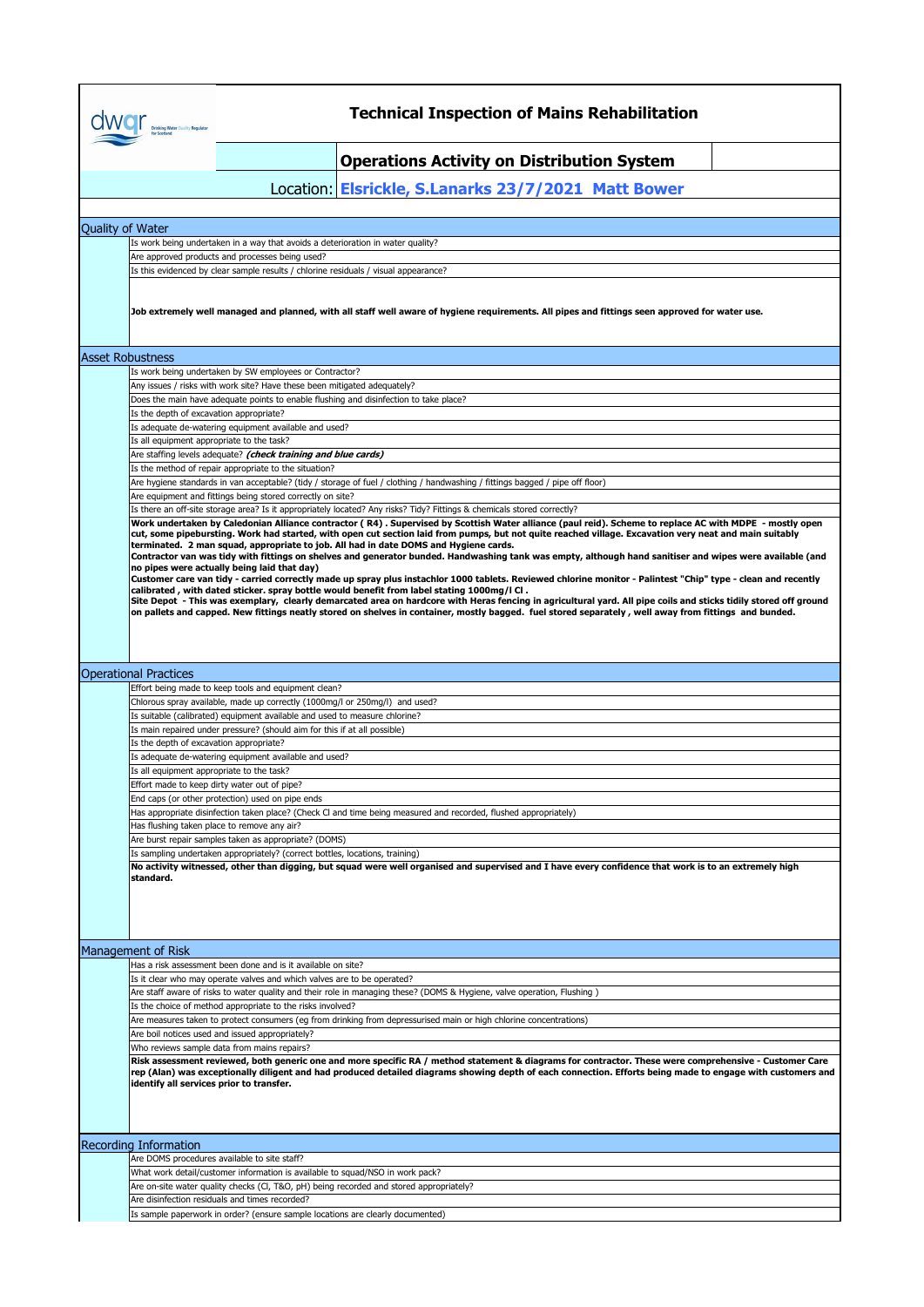|                  | <b>Drinking Water Quality Regulator</b>   | <b>Technical Inspection of Mains Rehabilitation</b>                                                                                                                                                                                            |
|------------------|-------------------------------------------|------------------------------------------------------------------------------------------------------------------------------------------------------------------------------------------------------------------------------------------------|
|                  |                                           | <b>Operations Activity on Distribution System</b>                                                                                                                                                                                              |
|                  |                                           | Location: Elsrickle, S.Lanarks 23/7/2021 Matt Bower                                                                                                                                                                                            |
|                  |                                           |                                                                                                                                                                                                                                                |
| Quality of Water |                                           |                                                                                                                                                                                                                                                |
|                  |                                           | Is work being undertaken in a way that avoids a deterioration in water quality?<br>Are approved products and processes being used?                                                                                                             |
|                  |                                           | Is this evidenced by clear sample results / chlorine residuals / visual appearance?                                                                                                                                                            |
|                  |                                           |                                                                                                                                                                                                                                                |
|                  |                                           | Job extremely well managed and planned, with all staff well aware of hygiene requirements. All pipes and fittings seen approved for water use.                                                                                                 |
|                  | <b>Asset Robustness</b>                   |                                                                                                                                                                                                                                                |
|                  |                                           | Is work being undertaken by SW employees or Contractor?                                                                                                                                                                                        |
|                  |                                           | Any issues / risks with work site? Have these been mitigated adequately?                                                                                                                                                                       |
|                  |                                           | Does the main have adequate points to enable flushing and disinfection to take place?                                                                                                                                                          |
|                  | Is the depth of excavation appropriate?   |                                                                                                                                                                                                                                                |
|                  |                                           | Is adequate de-watering equipment available and used?                                                                                                                                                                                          |
|                  | Is all equipment appropriate to the task? |                                                                                                                                                                                                                                                |
|                  |                                           | Are staffing levels adequate? (check training and blue cards)                                                                                                                                                                                  |
|                  |                                           | Is the method of repair appropriate to the situation?                                                                                                                                                                                          |
|                  |                                           | Are hygiene standards in van acceptable? (tidy / storage of fuel / clothing / handwashing / fittings bagged / pipe off floor)                                                                                                                  |
|                  |                                           | Are equipment and fittings being stored correctly on site?                                                                                                                                                                                     |
|                  |                                           | Is there an off-site storage area? Is it appropriately located? Any risks? Tidy? Fittings & chemicals stored correctly?                                                                                                                        |
|                  |                                           | Work undertaken by Caledonian Alliance contractor (R4). Supervised by Scottish Water alliance (paul reid). Scheme to replace AC with MDPE - mostly open                                                                                        |
|                  |                                           | cut, some pipebursting. Work had started, with open cut section laid from pumps, but not quite reached village. Excavation very neat and main suitably<br>terminated. 2 man squad, appropriate to job. All had in date DOMS and Hygiene cards. |
|                  |                                           | Contractor van was tidy with fittings on shelves and generator bunded. Handwashing tank was empty, although hand sanitiser and wipes were available (and                                                                                       |
|                  |                                           | no pipes were actually being laid that day)                                                                                                                                                                                                    |
|                  |                                           | Customer care van tidy - carried correctly made up spray plus instachlor 1000 tablets. Reviewed chlorine monitor - Palintest "Chip" type - clean and recently                                                                                  |
|                  |                                           | calibrated, with dated sticker. spray bottle would benefit from label stating 1000mg/l Cl.                                                                                                                                                     |
|                  |                                           | Site Depot - This was exemplary, clearly demarcated area on hardcore with Heras fencing in agricultural yard. All pipe coils and sticks tidily stored off ground                                                                               |
|                  |                                           | on pallets and capped. New fittings neatly stored on shelves in container, mostly bagged. fuel stored separately , well away from fittings and bunded.                                                                                         |
|                  |                                           |                                                                                                                                                                                                                                                |
|                  |                                           |                                                                                                                                                                                                                                                |
|                  |                                           |                                                                                                                                                                                                                                                |
|                  |                                           |                                                                                                                                                                                                                                                |
|                  | <b>Operational Practices</b>              |                                                                                                                                                                                                                                                |
|                  |                                           | Effort being made to keep tools and equipment clean?                                                                                                                                                                                           |
|                  |                                           | Chlorous spray available, made up correctly (1000mg/l or 250mg/l) and used?                                                                                                                                                                    |
|                  |                                           | Is suitable (calibrated) equipment available and used to measure chlorine?                                                                                                                                                                     |
|                  |                                           | Is main repaired under pressure? (should aim for this if at all possible)                                                                                                                                                                      |
|                  | Is the depth of excavation appropriate?   |                                                                                                                                                                                                                                                |
|                  |                                           | Is adequate de-watering equipment available and used?                                                                                                                                                                                          |
|                  |                                           |                                                                                                                                                                                                                                                |
|                  | Is all equipment appropriate to the task? |                                                                                                                                                                                                                                                |
|                  |                                           | Effort made to keep dirty water out of pipe?                                                                                                                                                                                                   |
|                  |                                           | End caps (or other protection) used on pipe ends                                                                                                                                                                                               |
|                  |                                           | Has appropriate disinfection taken place? (Check CI and time being measured and recorded, flushed appropriately)                                                                                                                               |
|                  |                                           | Has flushing taken place to remove any air?                                                                                                                                                                                                    |
|                  |                                           | Are burst repair samples taken as appropriate? (DOMS)                                                                                                                                                                                          |
|                  |                                           | Is sampling undertaken appropriately? (correct bottles, locations, training)                                                                                                                                                                   |
|                  | standard.                                 | No activity witnessed, other than digging, but squad were well organised and supervised and I have every confidence that work is to an extremely high                                                                                          |
|                  |                                           |                                                                                                                                                                                                                                                |
|                  |                                           |                                                                                                                                                                                                                                                |
|                  |                                           |                                                                                                                                                                                                                                                |
|                  |                                           |                                                                                                                                                                                                                                                |
|                  |                                           |                                                                                                                                                                                                                                                |
|                  | Management of Risk                        |                                                                                                                                                                                                                                                |
|                  |                                           | Has a risk assessment been done and is it available on site?                                                                                                                                                                                   |
|                  |                                           | Is it clear who may operate valves and which valves are to be operated?                                                                                                                                                                        |
|                  |                                           | Are staff aware of risks to water quality and their role in managing these? (DOMS & Hygiene, valve operation, Flushing)                                                                                                                        |
|                  |                                           | Is the choice of method appropriate to the risks involved?                                                                                                                                                                                     |
|                  |                                           | Are measures taken to protect consumers (eg from drinking from depressurised main or high chlorine concentrations)                                                                                                                             |
|                  |                                           | Are boil notices used and issued appropriately?                                                                                                                                                                                                |
|                  |                                           | Who reviews sample data from mains repairs?                                                                                                                                                                                                    |
|                  |                                           | Risk assessment reviewed, both generic one and more specific RA / method statement & diagrams for contractor. These were comprehensive - Customer Care                                                                                         |
|                  |                                           | rep (Alan) was exceptionally diligent and had produced detailed diagrams showing depth of each connection. Efforts being made to engage with customers and                                                                                     |
|                  | identify all services prior to transfer.  |                                                                                                                                                                                                                                                |
|                  |                                           |                                                                                                                                                                                                                                                |
|                  |                                           |                                                                                                                                                                                                                                                |
|                  |                                           |                                                                                                                                                                                                                                                |
|                  | <b>Recording Information</b>              |                                                                                                                                                                                                                                                |
|                  |                                           | Are DOMS procedures available to site staff?                                                                                                                                                                                                   |
|                  |                                           | What work detail/customer information is available to squad/NSO in work pack?                                                                                                                                                                  |
|                  |                                           | Are on-site water quality checks (Cl, T&O, pH) being recorded and stored appropriately?                                                                                                                                                        |
|                  |                                           | Are disinfection residuals and times recorded?                                                                                                                                                                                                 |